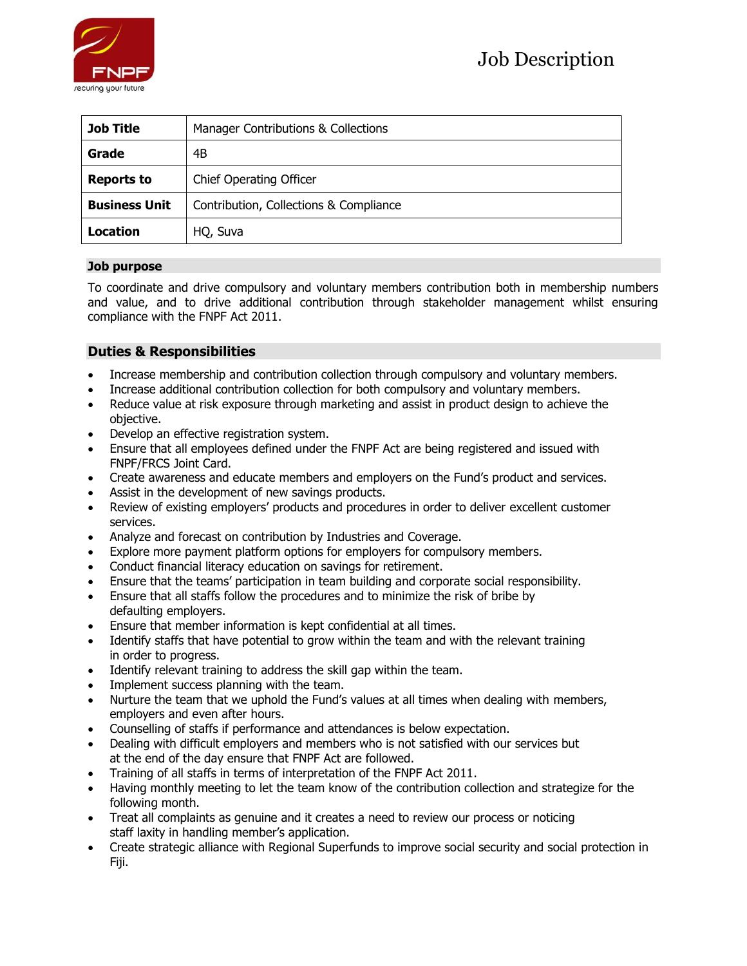

| <b>Job Title</b>     | Manager Contributions & Collections    |
|----------------------|----------------------------------------|
| Grade                | 4B                                     |
| <b>Reports to</b>    | <b>Chief Operating Officer</b>         |
| <b>Business Unit</b> | Contribution, Collections & Compliance |
| Location             | HQ, Suva                               |

## **Job purpose**

To coordinate and drive compulsory and voluntary members contribution both in membership numbers and value, and to drive additional contribution through stakeholder management whilst ensuring compliance with the FNPF Act 2011.

# **Duties & Responsibilities**

- Increase membership and contribution collection through compulsory and voluntary members.
- Increase additional contribution collection for both compulsory and voluntary members.
- Reduce value at risk exposure through marketing and assist in product design to achieve the objective.
- Develop an effective registration system.
- Ensure that all employees defined under the FNPF Act are being registered and issued with FNPF/FRCS Joint Card.
- Create awareness and educate members and employers on the Fund's product and services.
- Assist in the development of new savings products.
- Review of existing employers' products and procedures in order to deliver excellent customer services.
- Analyze and forecast on contribution by Industries and Coverage.
- Explore more payment platform options for employers for compulsory members.
- Conduct financial literacy education on savings for retirement.
- Ensure that the teams' participation in team building and corporate social responsibility.
- Ensure that all staffs follow the procedures and to minimize the risk of bribe by defaulting employers.
- Ensure that member information is kept confidential at all times.
- Identify staffs that have potential to grow within the team and with the relevant training in order to progress.
- Identify relevant training to address the skill gap within the team.
- Implement success planning with the team.
- Nurture the team that we uphold the Fund's values at all times when dealing with members, employers and even after hours.
- Counselling of staffs if performance and attendances is below expectation.
- Dealing with difficult employers and members who is not satisfied with our services but at the end of the day ensure that FNPF Act are followed.
- Training of all staffs in terms of interpretation of the FNPF Act 2011.
- Having monthly meeting to let the team know of the contribution collection and strategize for the following month.
- Treat all complaints as genuine and it creates a need to review our process or noticing staff laxity in handling member's application.
- Create strategic alliance with Regional Superfunds to improve social security and social protection in Fiji.